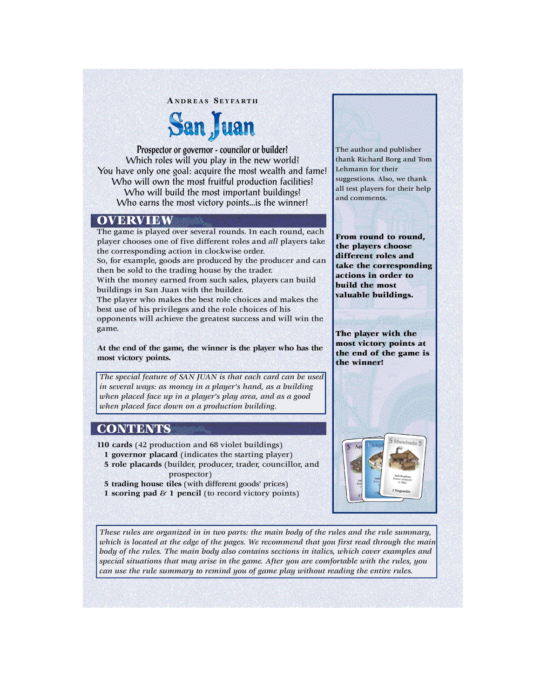#### **AN D R E A S SE Y FA RT H**

# San Juan

Prospector or governor - councilor or builder? Which roles will you play in the new world? You have only one goal: acquire the most wealth and fame! Who will own the most fruitful production facilities? Who will build the most important buildings? Who earns the most victory points...is the winner!

# **OVERVIEW**

The game is played over several rounds. In each round, each player chooses one of five different roles and *all* players take the corresponding action in clockwise order. So, for example, goods are produced by the producer and can then be sold to the trading house by the trader. With the money earned from such sales, players can build buildings in San Juan with the builder. The player who makes the best role choices and makes the

best use of his privileges and the role choices of his opponents will achieve the greatest success and will win the game.

**At the end of the game, the winner is the player who has the most victory points.**

*The special feature of SAN JUAN is that each card can be used in several ways: as money in a player's hand, as a building when placed face up in a player's play area, and as a good when placed face down on a production building.*

# **CONTENTS**

**110 cards** (42 production and 68 violet buildings)

- **1 governor placard** (indicates the starting player)
- **5 role placards** (builder, producer, trader, councillor, and prospector)
- **5 trading house tiles** (with different goods' prices)
- **1 scoring pad & 1 pencil** (to record victory points)

The author and publisher thank Richard Borg and Tom Lehmann for their suggestions. Also, we thank all test players for their help and comments.

From round to round, the players choose different roles and take the corresponding actions in order to build the most valuable buildings.

The player with the most victory points at the end of the game is the winner!



*These rules are organized in in two parts: the main body of the rules and the rule summary, which is located at the edge of the pages. We recommend that you first read through the main body of the rules. The main body also contains sections in italics, which cover examples and special situations that may arise in the game. After you are comfortable with the rules, you can use the rule summary to remind you of game play without reading the entire rules.*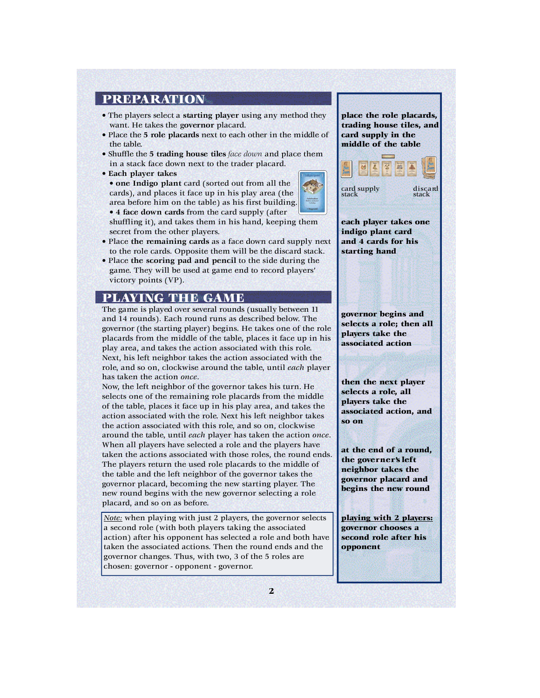# PREPARATION

- The players select a starting player using any method they want. He takes the governor placard.
- Place the 5 role placards next to each other in the middle of the table.
- Shuffle the **5 trading house tiles** *face down* and place them in a stack face down next to the trader placard.
- **Each player takes**
- **one Indigo plant** card (sorted out from all the cards), and places it face up in his play area (the area before him on the table) as his first building. • 4 **face down cards** from the card supply (after

shuffling it), and takes them in his hand, keeping them secret from the other players.

- Place **the remaining cards** as a face down card supply next to the role cards. Opposite them will be the discard stack.
- Place **the scoring pad and pencil** to the side during the game. They will be used at game end to record players' victory points (VP).

# PLAYING THE GAME

The game is played over several rounds (usually between 11 and 14 rounds). Each round runs as described below. The governor (the starting player) begins. He takes one of the role placards from the middle of the table, places it face up in his play area, and takes the action associated with this role. Next, his left neighbor takes the action associated with the role, and so on, clockwise around the table, until *each* player has taken the action *once*.

Now, the left neighbor of the governor takes his turn. He selects one of the remaining role placards from the middle of the table, places it face up in his play area, and takes the action associated with the role. Next his left neighbor takes the action associated with this role, and so on, clockwise around the table, until *each* player has taken the action *once*. When all players have selected a role and the players have taken the actions associated with those roles, the round ends. The players return the used role placards to the middle of the table and the left neighbor of the governor takes the governor placard, becoming the new starting player. The new round begins with the new governor selecting a role placard, and so on as before.

*Note:* when playing with just 2 players, the governor selects a second role (with both players taking the associated action) after his opponent has selected a role and both have taken the associated actions. Then the round ends and the governor changes. Thus, with two, 3 of the 5 roles are chosen: governor - opponent - governor.

place the role placards, trading house tiles, and card supply in the middle of the table



card supply discard<br>stack stack

each player takes one indigo plant card and 4 cards for his starting hand

g overnor begins and selects a role; then all players take the associated action

then the next player selects a role, all players take the associated action, and so on

at the end of a round. the governer's left neighbor ta kes the g overnor placard and begins the new round

playing with 2 players: governor chooses a second role after his opponent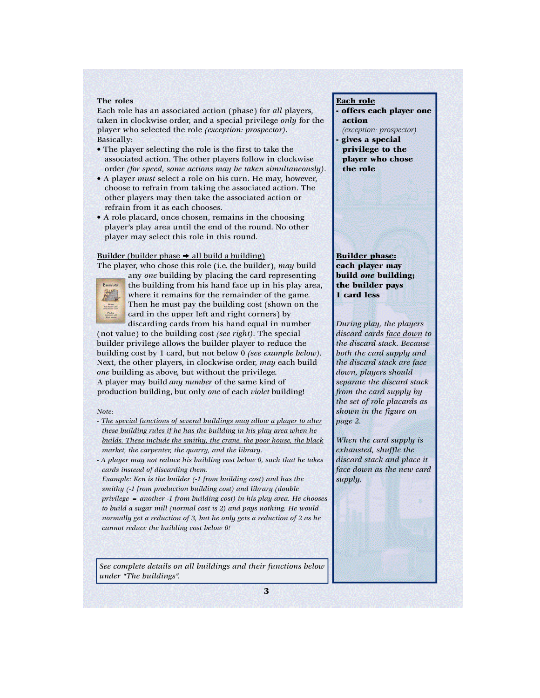#### **The roles**

Each role has an associated action (phase) for *all* players, taken in clockwise order, and a special privilege *only* for the player who selected the role *(exception: prospector)*. Basically:

- The player selecting the role is the first to take the associated action. The other players follow in clockwise order *(for speed, some actions may be taken simultaneously)*.
- A player *must* select a role on his turn. He may, however, choose to refrain from taking the associated action. The other players may then take the associated action or refrain from it as each chooses.
- A role placard, once chosen, remains in the choosing player's play area until the end of the round. No other player may select this role in this round.

#### **Builder** (builder phase  $\rightarrow$  all build a building)

The player, who chose this role (i.e. the builder), *may* build



any *one* building by placing the card representing the building from his hand face up in his play area, where it remains for the remainder of the game. Then he must pay the building cost (shown on the card in the upper left and right corners) by discarding cards from his hand equal in number

(not value) to the building cost *(see right)*. The special builder privilege allows the builder player to reduce the building cost by 1 card, but not below 0 *(see example below)*. Next, the other players, in clockwise order, *may* each build *one* building as above, but without the privilege. A player may build *any number* of the same kind of production building, but only *one* of each *violet* building!

#### *Note:*

- *- The special functions of several buildings may allow a player to alter these building rules if he has the building in his play area when he builds. These include the smithy, the crane, the poor house, the black market, the carpenter, the quarry, and the library.*
- *A player may not reduce his building cost below 0, such that he takes cards instead of discarding them.*

*Example: Ken is the builder (-1 from building cost) and has the smithy (-1 from production building cost) and library (double privilege = another -1 from building cost) in his play area. He chooses to build a sugar mill (normal cost is 2) and pays nothing. He would normally get a reduction of 3, but he only gets a reduction of 2 as he cannot reduce the building cost below 0!* 

*See complete details on all buildings and their functions below under "The buildings".*

## Each role

offers each player one action *(exception: prospector)*

gives a special privilege to the player who chose the role

Builder phase: each player may build *one* building; the builder pays 1 card less

*During play, the players discard cards face down to the discard stack. Because both the card supply and the discard stack are face down, players should separate the discard stack from the card supply by the set of role placards as shown in the figure on page 2.* 

*When the card supply is exhausted, shuffle the discard stack and place it face down as the new card supply.*

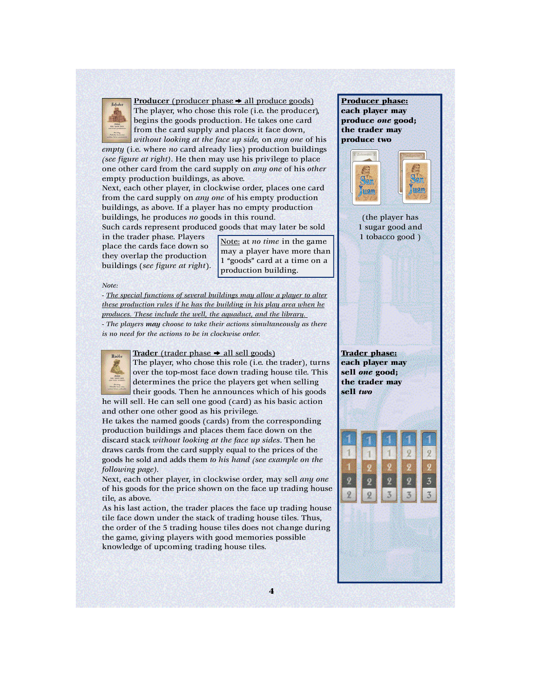

**Producer** (producer phase  $\rightarrow$  all produce goods) The player, who chose this role (i.e. the producer), begins the goods production. He takes one card from the card supply and places it face down, *without looking at the face up side,* on *any one* of his

*empty* (i.e. where *no* card already lies) production buildings *(see figure at right)*. He then may use his privilege to place one other card from the card supply on *any one* of his *other* empty production buildings, as above.

Next, each other player, in clockwise order, places one card from the card supply on *any one* of his empty production buildings, as above. If a player has no empty production buildings, he produces *no* goods in this round.

Such cards represent produced goods that may later be sold

in the trader phase. Players place the cards face down so they overlap the production buildings (*see figure at right*).

Note: at *no time* in the game may a player have more than 1 "goods" card at a time on a production building.

#### *Note:*

*- The special functions of several buildings may allow a player to alter these production rules if he has the building in his play area when he produces. These include the well, the aquaduct, and the library.* 

*- The players may choose to take their actions simultaneously as there is no need for the actions to be in clockwise order.*



**Trader** (trader phase  $\rightarrow$  all sell goods)

The player, who chose this role (i.e. the trader), turns over the top-most face down trading house tile. This determines the price the players get when selling their goods. Then he announces which of his goods he will sell. He can sell one good (card) as his basic action

and other one other good as his privilege.

He takes the named goods (cards) from the corresponding production buildings and places them face down on the discard stack *without looking at the face up sides*. Then he draws cards from the card supply equal to the prices of the goods he sold and adds them *to his hand (see example on the following page)*.

Next, each other player, in clockwise order, may sell *any one* of his goods for the price shown on the face up trading house tile, as above.

As his last action, the trader places the face up trading house tile face down under the stack of trading house tiles. Thus, the order of the 5 trading house tiles does not change during the game, giving players with good memories possible knowledge of upcoming trading house tiles.

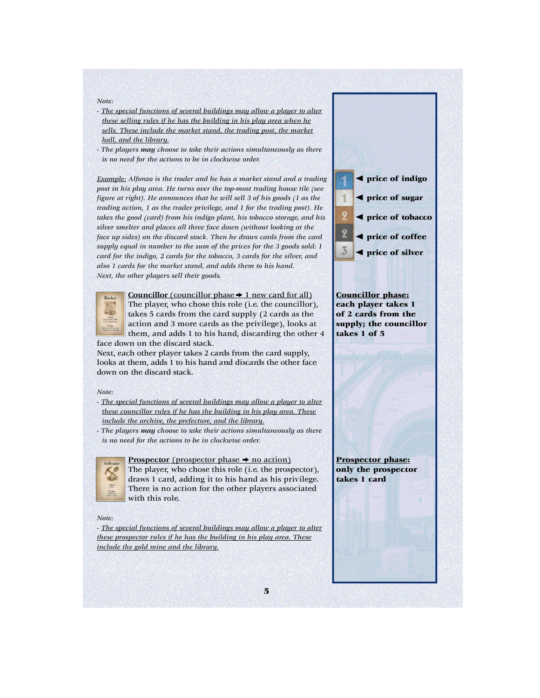#### *Note:*

- *- The special functions of several buildings may allow a player to alter these selling rules if he has the building in his play area when he sells. These include the market stand, the trading post, the market hall, and the library.*
- *The players may choose to take their actions simultaneously as there is no need for the actions to be in clockwise order.*

*Example: Alfonzo is the trader and he has a market stand and a trading post in his play area. He turns over the top-most trading house tile (see figure at right). He announces that he will sell 3 of his goods (1 as the trading action, 1 as the trader privilege, and 1 for the trading post). He takes the good (card) from his indigo plant, his tobacco storage, and his silver smelter and places all three face down (without looking at the face up sides) on the discard stack. Then he draws cards from the card supply equal in number to the sum of the prices for the 3 goods sold: 1 card for the indigo, 2 cards for the tobacco, 3 cards for the silver, and also 1 cards for the market stand, and adds them to his hand. Next, the other players sell their goods.*



**Councillor** (councillor phase  $\rightarrow$  1 new card for all) The player, who chose this role (i.e. the councillor), takes 5 cards from the card supply (2 cards as the action and 3 more cards as the privilege), looks at them, and adds 1 to his hand, discarding the other 4 face down on the discard stack.

Next, each other player takes 2 cards from the card supply, looks at them, adds 1 to his hand and discards the other face down on the discard stack.

#### *Note:*

- *- The special functions of several buildings may allow a player to alter these councillor rules if he has the building in his play area. These include the archive, the prefecture, and the library.*
- *The players may choose to take their actions simultaneously as there is no need for the actions to be in clockwise order.*



## **Prospector** (prospector phase  $\rightarrow$  no action)

The player, who chose this role (i.e. the prospector), draws 1 card, adding it to his hand as his privilege. There is no action for the other players associated with this role.

*Note:*

*- The special functions of several buildings may allow a player to alter these prospector rules if he has the building in his play area. These include the gold mine and the library.*



Prospector phase: only the prospector takes 1 card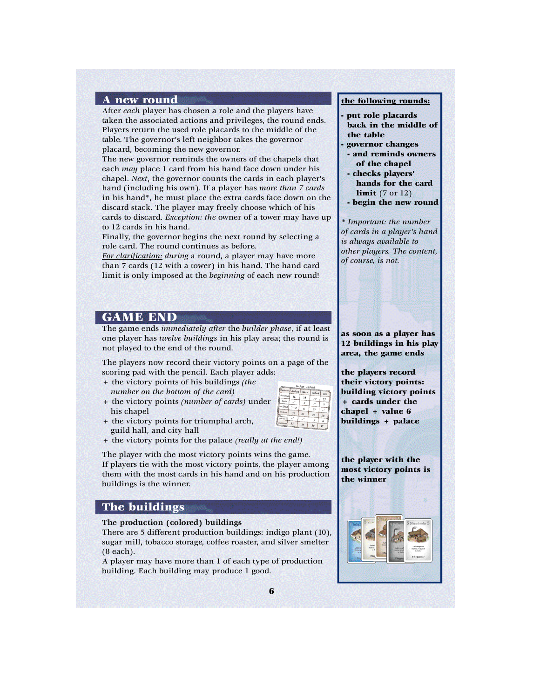#### A new round

After *each* player has chosen a role and the players have taken the associated actions and privileges, the round ends. Players return the used role placards to the middle of the table. The governor's left neighbor takes the governor placard, becoming the new governor.

The new governor reminds the owners of the chapels that each *may* place 1 card from his hand face down under his chapel. *Next*, the governor counts the cards in each player's hand (including his own). If a player has *more than 7 cards* in his hand\*, he must place the extra cards face down on the discard stack. The player may freely choose which of his cards to discard. *Exception: the* owner of a tower may have up to 12 cards in his hand.

Finally, the governor begins the next round by selecting a role card. The round continues as before.

*For clarification: during* a round, a player may have more than 7 cards (12 with a tower) in his hand. The hand card limit is only imposed at the *beginning* of each new round!

# GAME END

The game ends *immediately after* the *builder phase*, if at least one player has *twelve buildings* in his play area; the round is not played to the end of the round.

The players now record their victory points on a page of the scoring pad with the pencil. Each player adds:

- + the victory points of his buildings *(the number on the bottom of the card)*
- + the victory points *(number of cards)* under his chapel
- + the victory points for triumphal arch, guild hall, and city hall
- 
- + the victory points for the palace *(really at the end!)*

The player with the most victory points wins the game. If players tie with the most victory points, the player among them with the most cards in his hand and on his production buildings is the winner.

## The buildings

**The production (colored) buildings**

There are 5 different production buildings: indigo plant (10), sugar mill, tobacco storage, coffee roaster, and silver smelter (8 each).

A player may have more than 1 of each type of production building. Each building may produce 1 good.

#### the following rounds:

- put role placards back in the middle of the table
- governor changes
- and reminds owners of the chapel
- checks players' hands for the card **limit** (7 or 12)
- begin the new round

*\* Important: the number of cards in a player's hand is always available to other players. The content, of course, is not.* 

as soon as a player has 12 buildings in his play area, the game ends

the players record their victory points: building victory points + cards under the chapel + value 6 buildings + palace

the player with the most victory points is the winner

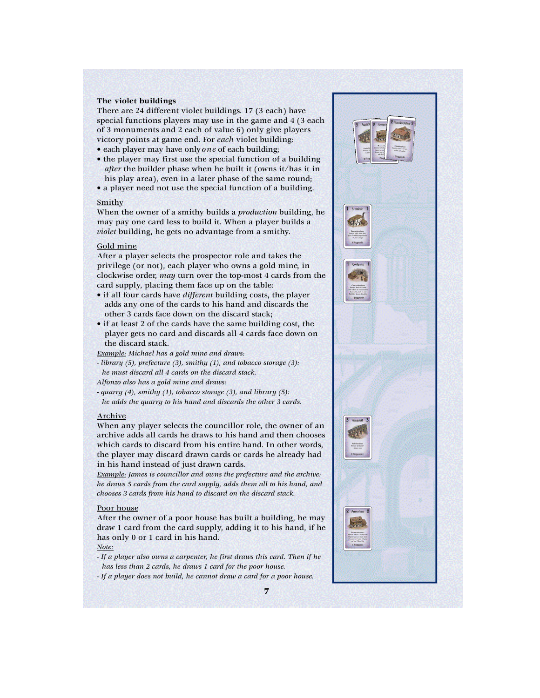#### **The violet buildings**

There are 24 different violet buildings. 17 (3 each) have special functions players may use in the game and 4 (3 each of 3 monuments and 2 each of value 6) only give players victory points at game end. For *each* violet building:

- each player may have only *one* of each building;
- the player may first use the special function of a building *after* the builder phase when he built it (owns it/has it in his play area), even in a later phase of the same round;
- a player need not use the special function of a building.

#### Smithy

When the owner of a smithy builds a *production* building, he may pay one card less to build it. When a player builds a *violet* building, he gets no advantage from a smithy.

#### Gold mine

After a player selects the prospector role and takes the privilege (or not), each player who owns a gold mine, in clockwise order, *may* turn over the top-most 4 cards from the card supply, placing them face up on the table:

- if all four cards have *different* building costs, the player adds any one of the cards to his hand and discards the other 3 cards face down on the discard stack;
- if at least 2 of the cards have the same building cost, the player gets no card and discards all 4 cards face down on the discard stack.

*Example: Michael has a gold mine and draws:*

- *library (5), prefecture (3), smithy (1), and tobacco storage (3): he must discard all 4 cards on the discard stack.*
- *Alfonzo also has a gold mine and draws:*
- *quarry (4), smithy (1), tobacco storage (3), and library (5): he adds the quarry to his hand and discards the other 3 cards.*

#### Archive

When any player selects the councillor role, the owner of an archive adds all cards he draws to his hand and then chooses which cards to discard from his entire hand. In other words, the player may discard drawn cards or cards he already had in his hand instead of just drawn cards.

*Example: James is councillor and owns the prefecture and the archive: he draws 5 cards from the card supply, adds them all to his hand, and chooses 3 cards from his hand to discard on the discard stack.*

### Poor house

After the owner of a poor house has built a building, he may draw 1 card from the card supply, adding it to his hand, if he has only 0 or 1 card in his hand.

#### *Note:*

- *If a player also owns a carpenter, he first draws this card. Then if he has less than 2 cards, he draws 1 card for the poor house.*
- *If a player does not build, he cannot draw a card for a poor house.*

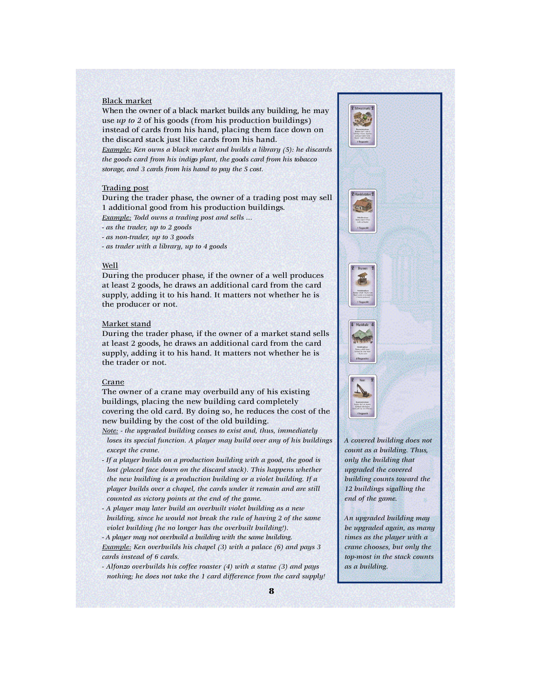#### Black market

When the owner of a black market builds any building, he may use *up to 2* of his goods (from his production buildings) instead of cards from his hand, placing them face down on the discard stack just like cards from his hand.

*Example: Ken owns a black market and builds a library (5): he discards the goods card from his indigo plant, the goods card from his tobacco s to ra g e, and 3 cards from his hand to pay the 5 cost.*

#### Trading post

During the trader phase, the owner of a trading post may sell 1 additional good from his production buildings.

*Example: Todd owns a trading post and sells …*

*- as the trader, up to 2 goods*

*- as non-trader, up to 3 goods*

*- as trader with a library, up to 4 goods* 

#### Well

During the producer phase, if the owner of a well produces at least 2 goods, he draws an additional card from the card supply, adding it to his hand. It matters not whether he is the producer or not.

#### Market stand

During the trader phase, if the owner of a market stand sells at least 2 goods, he draws an additional card from the card supply, adding it to his hand. It matters not whether he is the trader or not.

#### Crane

The owner of a crane may overbuild any of his existing buildings, placing the new building card completely covering the old card. By doing so, he reduces the cost of the new building by the cost of the old building.

*Note: - the upgraded building ceases to exist and, thus, immediately loses its special function. A player may build over any of his buildings except the crane.*

- *If a player builds on a production building with a good, the good is lost (placed face down on the discard stack). This happens whether the new building is a production building or a violet building. If a player builds over a chapel, the cards under it remain and are still counted as victory points at the end of the game.*
- *A player may later build an overbuilt violet building as a new building, since he would not break the rule of having 2 of the same violet building (he no longer has the overbuilt building!). - A player may not overbuild a building with the same building.*

*Example: Ken overbuilds his chapel (3) with a palace (6) and pays 3 cards instead of 6 cards.*

*- Alfonzo overbuilds his coffee roaster (4) with a statue (3) and pays nothing; he does not take the 1 card difference from the card supply!* 



*A covered building does not count as a building. Thus, only the building that upgraded the covered building counts toward the 12 buildings sigalling the end of the game.*

*An upgraded building may be upgraded again, as many times as the player with a crane chooses, but only the top-most in the stack counts as a building.*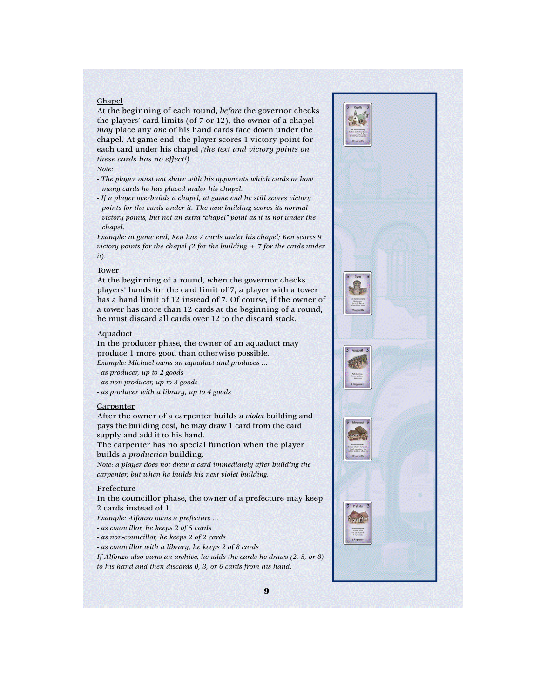#### Chapel

At the beginning of each round, *before* the governor checks the players' card limits (of 7 or 12), the owner of a chapel *may* place any *one* of his hand cards face down under the chapel. At game end, the player scores 1 victory point for each card under his chapel *(the text and victory points on these cards has no effect!)*.

#### *Note:*

- *The player must not share with his opponents which cards or how many cards he has placed under his chapel.*
- *If a player overbuilds a chapel, at game end he still scores victory points for the cards under it. The new building scores its normal victory points, but not an extra "chapel" point as it is not under the chapel.*

*Example: at game end, Ken has 7 cards under his chapel; Ken scores 9 victory points for the chapel (2 for the building + 7 for the cards under it).*

#### **Tower**

At the beginning of a round, when the governor checks players' hands for the card limit of 7, a player with a tower has a hand limit of 12 instead of 7. Of course, if the owner of a tower has more than 12 cards at the beginning of a round, he must discard all cards over 12 to the discard stack.

#### Aquaduct

In the producer phase, the owner of an aquaduct may produce 1 more good than otherwise possible.

*Example: Michael owns an aquaduct and produces …*

*- as producer, up to 2 goods* 

*- as non-producer, up to 3 goods* 

*- as producer with a library, up to 4 goods*

#### **Carpenter**

After the owner of a carpenter builds a *violet* building and pays the building cost, he may draw 1 card from the card supply and add it to his hand.

The carpenter has no special function when the player builds a *production* building.

*Note: a player does not draw a card immediately after building the carpenter, but when he builds his next violet building.* 

#### Prefecture

In the councillor phase, the owner of a prefecture may keep 2 cards instead of 1.

*Example: Alfonzo owns a prefecture …*

*- as councillor, he keeps 2 of 5 cards*

*- as non-councillor, he keeps 2 of 2 cards*

*- as councillor with a library, he keeps 2 of 8 cards*

*If Alfonzo also owns an archive, he adds the cards he draws (2, 5, or 8) to his hand and then discards 0, 3, or 6 cards from his hand.*

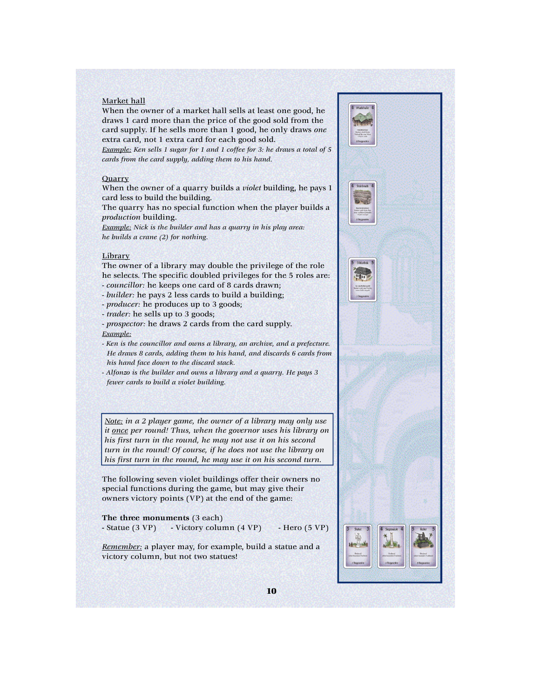#### Market hall

When the owner of a market hall sells at least one good, he draws 1 card more than the price of the good sold from the card supply. If he sells more than 1 good, he only draws *one* extra card, not 1 extra card for each good sold.

*Example: Ken sells 1 sugar for 1 and 1 coffee for 3: he draws a total of 5 cards from the card supply, adding them to his hand.*

#### **Quarry**

When the owner of a quarry builds a *violet* building, he pays 1 card less to build the building.

The quarry has no special function when the player builds a *production* building.

*Example: Nick is the builder and has a quarry in his play area: he builds a crane (2) for nothing.*

#### Library

The owner of a library may double the privilege of the role he selects. The specific doubled privileges for the 5 roles are: *- councillor:* he keeps one card of 8 cards drawn;

- *- builder:* he pays 2 less cards to build a building;
- *producer:* he produces up to 3 goods;
- *trader:* he sells up to 3 goods;

*- prospector:* he draws 2 cards from the card supply. *Example:*

*- Ken is the councillor and owns a library, an archive, and a prefecture. He draws 8 cards, adding them to his hand, and discards 6 cards from his hand face down to the discard stack.* 

*- Alfonzo is the builder and owns a library and a quarry. He pays 3 fewer cards to build a violet building.*

*Note: in a 2 player game, the owner of a library may only use it once per round! Thus, when the governor uses his library on his first turn in the round, he may not use it on his second turn in the round! Of course, if he does not use the library on his first turn in the round, he may use it on his second turn.*

The following seven violet buildings offer their owners no special functions during the game, but may give their owners victory points (VP) at the end of the game:

**The three monuments** (3 each) - Statue (3 VP) - Victory column (4 VP) - Hero (5 VP)

*Remember:* a player may, for example, build a statue and a victory column, but not two statues!